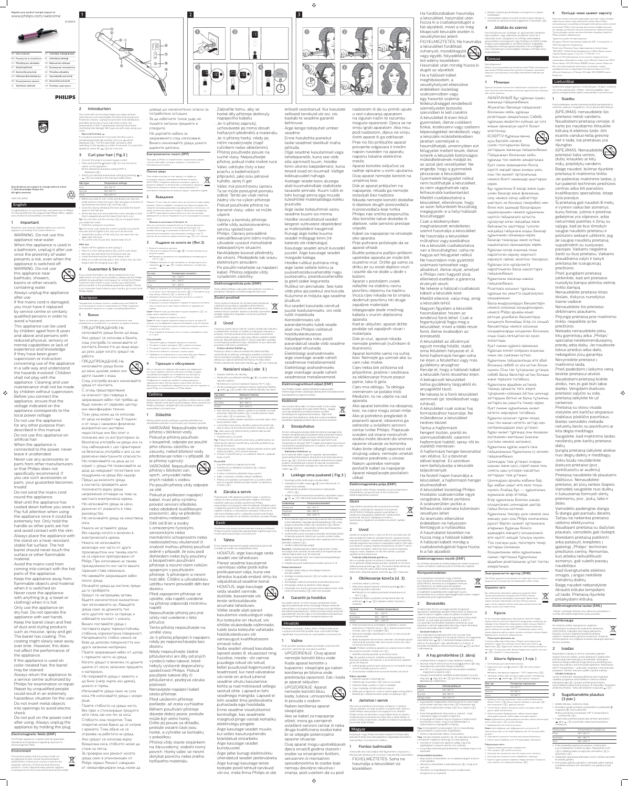#### Register your product and get support at www.philips.com/welcome

BHB868

**PHILIPS** 

Specifications are subject to change without notice © 2016 Koninklijke Philips N.V. All rights reserved.

3140 035 42401

#### English

containing water. 4 Guarantee & Service If you need information e.g. about replacement of an attachment or if you have a problem, please visit the Philips website at www.philips.com/support or contact the Philip Customer Care Centre in your country (you will find its phone number in the worldwide guarantee leaflet). If the io Consumer Care Centre in your country, go to your Philips dealer. **Български** Поздравления за вашата покупка и добре дошли във Philips! За

работи.

ΠΡΕДУΠΡΕЖДЕНИЕ: He използвайте уреда близо ДО ВАНИ, ДУШОВЕ, МИВКИ ИЛИ

С оглед предотвратяване на опасност при повреда в

или квалифициран техник. • Този уред може да се използва

След употреба винаги изключвайте

захранващия кабел той трябва да бъде сменен от сервизен център

други съдове с вода.

уреда от контакта.

# appliance near water.

• Always unplug the appliance after use.

• If the mains cord is damaged, you must have it replaced by service centre or similarly qualified persons in order to avoid a hazard.

• This appliance can be used by children aged from 8 years and above and persons with reduced physical, sensory or mental capabilities or lack of experience and knowledge if they have been given supervision or instruction concerning use of the appliance in a safe way and understand the hazards involved. Children shall not play with the appliance. Cleaning and user maintenance shall not be made by children without supervision. Before you connect the appliance, ensure that the voltage indicated on the appliance corresponds to the local power voltage. • Do not use the appliance for any other purpose than described in this manual. • Do not use this appliance on

artificial hair.

• When the appliance is connected to the power, never leave it unattended. • Never use any accessories or parts from other manufacturers or that Philips does not specifically recommend. If

you use such accessories or parts, your guarantee becomes invalid. • Do not wind the mains cord round the appliance. • Wait until the appliance has

• Key Lock Function If no buttons pressed for 5 seconds, the Key Lock is activated automatically and key lock icon  $\sigma_{\overline{n}}$  will be displayed  $( 6)$ . The first automatic activation after switching on the appliance is after 15 seconds. To unlock the appliance, press the  $o_{\pi}$  ( $(\bar{7})$ ) for 1 second

cooled down before you store it. • Pay full attention when using the appliance since it could be extremely hot. Only hold the handle as other parts are hot and avoid contact with the skin. • Always place the appliance with the stand on a heat-resistant, stable flat surface. The hot barrel should never touch the surface or other flammable material. • Avoid the mains cord from

1 Connect the plug to a power supply socket. 2 Press and hold the  $\emptyset$  button ( $\circledast$ ) for one second to switch on the appliance. → The default temperature setting 170°C is

130-150 °C

Tip: You can also use the cool tip  $($   $\eta$  $)$  as a support when

Normal 160-180 ºC Thick 190-200 °C

Congratulations on your purchase, and welcome to Philips! To fully benefit from the support that Philips offers, register your product at www.philips.com/welcom down to the hair tips. 6 At the hair tips, turn and rotate the curler naturally so that hair is wrapped around the barrel from tip to root.

#### **Important**

coming into contact with the hot parts of the appliance. • Keep the appliance away from flammable objects and material when it is switched on. • Never cover the appliance with anything (e.g. a towel or clothing) when it is hot. • Only use the appliance on dry hair. Do not operate the appliance with wet hands. • Keep the barrel clean and free of dust and styling products such as mousse, spray and gel. • The barrel has coating. This coating might slowly wear away over time. However, this does not affect the performance of the appliance. • If the appliance is used on color-treated hair, the barrel may be stained. • Always return the appliance to a service centre authorized by Philips for examination or repair. Repair by unqualified people could result in an extremely hazardous situation for the user. • Do not insert metal objects into openings to avoid electric shock. • Do not pull on the power cord after using. Always unplug the appliance by holding the plug.

да се възползвате изцяло от предлаганата от Philips поддръжка регистрирайте продукта си на адрес www.philips.bg/welcome. 1 Важно

Преди да използвате уреда, прочетете внимателно това ръководство за потребителя и го запазете за справка в бъдеще • ΠΡΕΔΥΠΡΕЖΔΕΗΝΕ: He използвайте уреда близо до вода. • Ако уредът се използва в банята, след употреба го изключвайте от контакта. Близостта до вода води до риск дори когато уредът не Съвет: За леки къдрици задръжте машата на място за около 20 секунди, а за по-оформени къдрици използвайте за до 25 секунди. 8 Развивайте кичура коса, докато можете да отворите шипката с 9 Ва да изправите останалата част от косата, повтаряйте стъпки  $OT$  4  $AO$  8. След употреба: 1 Изключете урела и извалете шепсела от контакта.

 $2$  Оставете го върху подпората ( $\circledS$  ), докато се охлади 3 Отстранете космите и праха от стеблото и щипката. 4 Почистете стеблото и шипката с влажна кърпа. 5 Приберете го на безопасно и сухо място без прах. Можете също да го окачите на халката за окачване (  $\circledR$ ).

Гаранция и обслужване Ако се нуждаете от сервизно обслужване или информация

или имате проблем, посетете уеб сайта на Philips на адре www.philips.com/support или се обърнете към центъра за .<br>о́служване на потребители на Philips във вашата страна .<br>Гелефонния му номер ше намерите в межлународната гаранционна карта. Ако във вашата страна няма център за обслужване на потребители, обърнете се към местния търгов уреди Philips или упълномощен от Philips сервиз

## **Ceština**

Remove hair and dust from the barrel and clip. 4 Clean the barrel and the clip with damp cloth 5 Keep it in a safe and dry place, free of dust. You can also

корена.

Не дърпайте кабела за ЗАХРАНВАНЕТО СЛЕД ИЗПОЛЗВАНЕ. Винаги изключвайте уреда, докато

#### Електромагнитни полета (ЕМF)

и всички действаши стандарти, свързани с излагането на електромагнитни полета.

<sub>√→→</sub><br>разделно събиране на електрически и електронни продукти. равилното изхвърляне помага за предотвратяване на

Машата с 32 мм ствол ви помага лесно да постигнете живи, игриви къдрици и букли за забавен и младежки вид. Защитно керамично покритие осигурява равномерно разпределение на топлината и се от 200 °С гарантира оптимални резултати, като минимизира маша.

# Ако не са натиснати никакви бутони за 5 секунди, функцията

→ Показва се настроената по подразбиране температура от

Read this user manual carefully before you use the appliance and keep it for future reference • WARNING: Do not use this 7 Hold the curling iron in position. Tip: For loose curls, keep the curler in position around 20 seconds and for tighter curls, use up to 25 seconds. 8 Unwind the section of hair until you can open the clip

• When the appliance is used in a bathroom, unplug it after use since the proximity of water presents a risk, even when the appliance is switched off. • WARNING: Do not use this appliance near bathtubs, showers, basins or other vessels After use:

#### Electromagnetic fields (EMF)

This Philips appliance complies with all applicable standards and regulations regarding exposure to electromagnetic fields.

#### Environment

This symbol means that this product shall not be disposed of with normal household waste (2012/19/EU). Follow your country's rules for the separate collection of electrical and electronic products. Correct disposal helps prevent negative consequences for the environment and human health.

#### 2 Introduction



The curler with 32 mm barrel helps you easily achieve vivid, bouncy curls and ringlets for joyful and young look. Protective ceramic coating ensures even heat distribution and takes good care of your hair while curling. Top temperature of 200 ºC guarantees optimal result while minimizing hair damage. We hope you will enjoy using your curler.

#### 3 Curl your hair ( Fig.3 )

you rotate the curler.

again with the lever.

ДОВЕДЕ ДО ИЗКЛЮЧИТЕЛНО ОПАСНИ ЗА потребителя ситуации. Ва да избегнете токов удар, не пъхайте метални предмети в отворите.

държите щепсела.

Този уред на Philips е в съответствие с нормативната уредба

 $\searrow$ 

.<br>жи за косата ви, докато се къдрите. Най-висока температура «дането на косата. Надяваме се да се наслаждавате на вашата Функция за заключване на бутоните 0

# за заключване на бутоните се активира автоматично и се

3 Къдрене на косата ви (Фиг.3)

#### 2 Натиснете и задръжте бутона  $\mathbb O$  ( $\circledast$ ) за една секунда, за да включите уреда  $170 °C$  ( $\circledcirc$ ).

3 Изберете желаната от вас настройка на температурата, като натискате + или  $-$  ( $\circled{7}$ ) според таблицата с типове коса по-долу.

9 To curl the rest of your hair, repeat steps 4 to 8.

Switch off the appliance and unplug it.

hang it with the hanging loop  $( \overline{9} )$ .

displayed  $($   $(6)$   $)$ . 3 Select your desired temperature setting by pressing  $+$  or

от деца на възраст над 8 години и от лица с намалени физически ВЪЗПРИЯТИЯ ИЛИ УМСТВЕНИ недостатъци или без опит и познания, ако са инструктирани за безопасна употреба на уреда или са под наблюдение с цел гарантиране на безопасна употреба и ако са им разяснени евентуалните опасности. Не позволявайте на деца да си играят с уреда. Не позволявайте на Деца да извършват почистване или поддръжка на уреда без надзор. Преди да включите уреда в контакта, проверете дали посоченото върху уреда Před použitím tohoto přístroje si pečlivě přečtěte tuto uživatelskou příručku a uschovejte ji pro budoucí použití. • VAROVÁNÍ: Nepoužívejte tento přístroj v blízkosti vody. je přístroj vypnutý. • VAROVÁNÍ: Nepoužívejte přístroj v blízkosti van, sprch, umyvadel nebo jiných nádob s vodou. • Po použití přístroj vždy odpojte ze sítě. • Pokud je poškozen napájecí

напрежение отговаря на това на местната електрическа мрежа. Не използвайте уреда за цели, различни от указаното в това ръководство. Не използвайте уреда на изкуствена kabel, musí jeho výměnu provést servisní středisko nebo obdobně kvalifikovaní pracovníci, aby se předešlo možnému nebezpečí.



показва иконата � за заключване на бутоните ( ⑥ ). Първотс автоматично активиране след включване на уреда е след 15 секунди. За да отключите уреда, натиснете  $\bullet_{\text{m}}$  ( $\overline{Q}$ ) за 1 секунда.

2 Place it on the resting stand  $($   $\circledS$   $)$  until it cools down. 1 Включете шепсела в контакта

теблото до краищата на коса<mark>т</mark>а

ODODA, KOLATO ЗАВЪРТАТА МАШАТА. Задръжте машата за къдрене на място.

мощта на лостчет

KOCa. Никога не оставяйте уреда без надзор, когато е включен в електрическата мрежа. Никога не използвайте аксесоари или части от други производители или такива, които не са изрично препоръчвани от Philips. При използване на такива принадлежности или части вашата • Děti od 8 let a osoby s omezenými fyzickými, senzorickými nebo mentálními schopnostmi nebo nedostatečnou zkušeností či znalostí mohou přístroj používat dozoru. napětí. příručce. umělé vlasy. dozoru. platnosti. okolo přístroje. s pokožkou.

гаранция става невалидна. • Не навивайте захранващия кабел около уреда. Изчакайте уреда да изстине, преди да го приберете. • Уредът се нагорещява, затова бъдете изключително внимателни при използването му. Хващайте уреда само за дръжката, тъй като другите части са горещи, и избягвайте контакт с кожата. Винаги поставяйте уреда с поставката върху термоустойчива, стабилна, хоризонтална повърхност. Нагорещеното стебло никога не бива да докосва повърхността или други запалими материали. • Пазете захранващия кабел от допир с горещите части на уреда. Когато уредът е включен, го дръжте ДАЛЕЧЕ ОТ ЛЕСНО ЗАПАЛИМИ ПРЕДМЕТИ и материали. Не покривайте уреда с каквото и да било (напр. кърпа или дреха), докато е горещ. • Използвайте уреда само на суха коса. Не използвайте уреда с мокри ръце. • Пазете стеблото на уреда чисто, без прах и стилизиращи продукти като пяна, лак или гел за коса. Стеблото има покритие. Това покритие може бавно да се изтрие с времето. Това обаче не се отразява на работата на уреда. Ако уредът се използва върху боядисана коса, стеблото може да стане на петна. Ва проверка или ремонт носете

уреда само в упълномощен от Philips сервиз. Ремонт, извършен от неквалифицирани лица, може да си на малки части. Натиснете лостчето ( $\overline{4}$ ) и поставете кичур коса между стеблото (  $\overline{3}$  ) и щипката (  $\overline{2}$ Затворете щипката, като отпуснете лостчето, и плъзнете předpisům týkajícím se elektromagnetických polí. Životní prostředí

6 В краищата на косата обърнете и завъртете машата естествено TAKA YA KOCATA AA CA VRUA OKOAO CTADAOTO OT KOAULIATA AO Съвет: Можете също да използвате хладния накрайник (1)) за Tento symbol znamená, že výrobek nelze likvidovat s běžným komunálním odpadem (2012/19/EU). Řiďte se pravidly vaší země pro sběr elektrických a elektronických výrobků. Správnou likvidací pomůžete předejít negativním dopadům na životní prostředí

> S kulmou a jejím 32mm válcem snadno dosáhnete zářivého a mladistvého vzhledu se svěžími a vzdušnými loknami a

automaticky se aktivuje uzamykací pojistka a zobrazí se ikona uzamykací pojistky  $\bullet_{\pi}$  ( $\circledast$ ). K první automatické aktivaci po zapnutí přístroje dochází po 15 sekundách. Přístroj odemknete stisknutím tlačítka  $\mathbf{0}$  ( $\mathcal{O}$ ) na 1 sekundu.

3 Natáčení vlasů ( obr. 3 ) Zapojte zástrčku do zásuvky

2 Stisknutím a podržením tlačítka  $\mathcal{O}(\mathcal{B})$  na jednu sekundu zapněte zařízení. → Zobrazí se výchozí nastavení teploty 170 °C ( ⑥ ).

3 Z válce a raménka odstraňte vlasy a prach. 4 Válec a raménko očistěte vlhkým hadříkem. 5 Přístroj uchovávejte na bezpečném a suchém místě, kam se nepráší. Můžete jej také zavěsit za závěsnou smyčku ( $\circ$ ).

Õnnitleme ostu puhul ja tere tulemast kasutama Philipsit! Philipsi tootetoe paremaks kasutamiseks registreerige oma oode saidil www.philips.com/welcome 1 Tähtis Enne seadme kasutamist lugege seda kasutusjuhendit kalt ja hoidke see edaspidiseks alle

| Тип коса | Температурни настройки |
|----------|------------------------|
| Фина     | $130 - 150$ °C.        |
| Нормален | $160 - 180$ °C.        |
| Гъста    | $190 - 200$ °C.        |

Kui 5 sekundi vältel nuppe ei vajutata, aktiveeritakse automaatselt klahvilukk ja ekraanile ilmub klahvilukustuse ikoon • ( 6 ). Esimene automaatne aktiveerimine pärast seadme sisselülitamist toimub 15 sekundi möödumisel. Klahviluku avamiseks vajutage ühe sekundi vältel nuppu  $o_{\pi}$  ( $\overline{(\overline{7})}$ ).

1 Sisestage pistik elektrivõrgu seinakontakti. 2 Vajutage ja hoidke nuppu  $\mathcal{O}(\mathcal{B})$  ühe sekundi all, et seade sisse lülitada. » Ekraanile kuvatakse temperatuuri vaikeseade 170°C ( $\circ$ ).

Valige soovitud temperatuuriseadistus vajutades nuppu  $+$  või  $-$  ( $(\overline{7})$ ) alltoodud juuksetüüpide tabeli järgi.

Gratulujeme vám k zakoupení výrobku a vítáme vás ve světě Philips. Abyste mohli plně využít podpory, kterou společnos Philips poskytuje, zaregistrujte svůj výrobek na adrese www.philips.com/welcome.

#### **D**ůležité

• Pokud je přístroj používán v koupelně, odpojte po použití jeho síťovou zástrčku ze zásuvky, neboť blízkost vody představuje riziko i v případě, že

> Aparat za uvijanje kose s cijevi od 32 mm pomaže vam da ako postignete živahne, lepršave kovrče i spiralne kovrče koje jamče razigran, mladenački izgled. Zaštitna keramička obloga osigurava ravnomjernu raspodjelu topline i štiti vašu kosu tijekom uvijanja. Najviša temperatura od 200 ºC jamči optimalne rezultate i oštećenje kose svodi na najmanju moguću mjeru. Nadamo se da ćete uživati u uporabi aparata za kovrčanje kose

#### • Funkcija zaključavanja gumba Ako se nijedan gumb ne pritisne 5 sekundi, automatski će se aktivirati zaključavanje gumba i prikazat će se ikona zaključavanja gumba  $\sigma_{\pi}$  ( $\sigma$ ). Prva automatska aktivacija slijedi 15 sekundi nakon uključivanja aparata. Kako biste otključali aparat, pritisnite  $\mathbf{e}_{\mathbf{w}}$  ( $\overline{Q}$ ) 1 sekundu.

• Zabraňte tomu, aby se horké díly přístroje dotknuly napájecího kabelu. • Je-li přístroj zapnutý, uchovávejte jej mimo dosah hořlavých předmětů a materiálu. • Je-li přístroj horký, nikdy jej ničím nezakrývejte (např. ručníkem nebo oblečením). • Přístroj používejte pouze na suché vlasy. Nepoužívejte přístroj, pokud máte mokré ruce. • Válec udržujte čistý a bez

 $\bullet$ 

四

**FREE** 

 $\left| \cdot \right|$ 

HIT

EE

 $\bigcirc$ 

 $\overline{A}$ 

倉

prachu a kadeřnických přípravků, jako jsou pěnové tužidlo, sprej či gel. • Válec má povrchovou úpravu. Ta se může postupně pomalu odírat. Tento jev však nemá žádný vliv na výkon přístroje. • Pokud používáte přístroj na barvené vlasy, válec se může ušpinit. • Opravy a kontroly přístroje svěřte vždy autorizovanému servisu společnosti Philips. Opravy prováděné nekvalifikovanými lidmi mohou uživatele vystavit mimořádně nebezpečným situacím.

• Nevkládejte kovové předměty do otvorů. Předejdete tak úrazu elektrickým proudem. • Po použití netahejte za napájecí kabel. Přístroj odpojte vždy vytažením zástrčky. Elektromagnetická pole (EMP)

veszélyhelyzet elkerülése érdekében kizárólag szakszervizben vagy egy hasonló szakmai felkészültséggel rendelkező személyzetet biztosító szervizben ki kell cserélni. • A készüléket 8 éven felüli gyermekek, illetve csökkent fizikai, érzékszervi vagy szellemi képességekkel rendelkező, vagy a készülék működtetésében járatlan személyek is használhatják, amennyiben ezt felügyelet mellett teszik, illetve ismerik a készülék biztonságos működtetésének módját és az azzal járó veszélyeket. Ne engedje, hogy a gyermekek játsszanak a készülékkel. Gyermekek felügyelet nélkül nem tisztíthatják a készüléket, és nem végezhetnek rajta felhasználói karbantartást. • Mielőtt csatlakoztatná a készüléket, ellenőrizze, hogy az azon feltüntetett feszültség megegyezik-e a helyi hálózati feszültséggel. • Csak a kézikönyvben meghatározott rendeltetés szerint használja a készüléket. • Ne használja a készüléket тіркеніз ecenteneai.

a lidské zdraví. 2 Úvod

jedině v případě, že jsou pod dohledem nebo byly poučeny o bezpečném používání přístroje a rozumí všem rizikům spojeným s používáním přístroje. S přístrojem si nesmí hrát děti. Čištění a uživatelskou údržbu nesmí provádět děti bez • Před zapojením přístroje se ujistěte, zda napětí uvedené na přístroji odpovídá místnímu • Nepoužívejte přístroj pro jiné účely než uvedené v této • Tento přístroj nepoužívejte na • Je-li přístroj připojen k napájení, nikdy jej neponechávejte bez • Nikdy nepoužívejte žádné příslušenství ani díly od jiných výrobců nebo takové, které nebyly výslovně doporučeny společností Philips. Pokud použijete takové díly či příslušenství, pozbývá záruka • Nenavíjejte napájecí kabel • Před uložením přístroje počkejte, až zcela vychladne. • Během používání přístroje dávejte dobrý pozor, protože může být velmi horký. Držte jej pouze za držadlo, protože ostatní části jsou horké, a vyhněte se kontaktu • Přístroj vždy stavte stojánkem na žáruvzdorný, stabilní rovný povrch. Horký válec se nesmí dotýkat povrchu nebo jiného hořlavého materiálu. • HOIATUS: ärge kasutage seda seadet vee läheduses. • Pärast seadme kasutamist vannitoas võtke pistik kohe pistikupesast välja, kuna vee lähedus kujutab endast ohtu ka

származó tartozékot vagy alkatrészt, illetve olyat, amelyet a Philips nem hagyott jóvá, ellenkező esetben a garancia érvényét veszti. • Ne tekerje a hálózati csatlakozó • Розеткаға косылып түрғанда. površinu otpornu na toplinu. kábelt a készülék köré. Vruća cijev nikada ne bi smjela • Mielőtt eltenné, várja meg, amíg dodirnuti površinu niti druge a készülék lehűl. zapaljive materijale. • Nagyon figyeljen a készülék • Izbjegavajte dodir mrežnog használatakor, hiszen az kabela s vrućim dijelovima rendkívül forró lehet. Csak a fogantyújánál fogja meg a • Kad je uključen, aparat držite készüléket, mivel a többi része podalje od zapaljivih stvari i forró, illetve óvakodjon az érintésétől. • Dok je vruć, aparat nikada • A készüléket az állvánnyal nemojte prekrivati (ručnikom ili együtt mindig hőálló, stabil, Куат сымын құралға орамаңыз. sima felületen helyezze el. A • Aparat koristite samo na suhoj forró hajformázó henger soha kosi. Nemojte ga uzimati ako su ne érjen a felülethez vagy más gyúlékony anyaghoz. • Cijev treba biti očišćena od • Kerülje el, hogy a hálózati kábel prljavštine, prašine i sredstava a készülék forró részeihez érjen. za oblikovanje frizure poput • A bekapcsolt készüléket tartsa gyúlékony tárgyaktól és Құрылғыны әрдайым ыстыққа • Cijev ima oblogu. Ta obloga anyagoktól távol. vremenom se polako troši. • Ne takarja le a forró készüléket Međutim, to ne utječe na rad semmivel (pl. törölközővel vagy ruhával). • Ako aparat koristite na obojanoj • Қуат сымын құрылғының қызып • A készüléket csak száraz haj kosi, na cijevi mogu ostati mrlje. formázásához használja. Ne • Ako je potrebno pregledati ili működtesse a készüléket Құрылғы қосылып тұрған кезде, popraviti aparat, obavezno ga nedves kézzel. odnesite u ovlašteni servisni • Tartsa a hajformázó centar tvrtke Philips. Popravak hengert tisztán, portól és izveden od strane nestručnih szennyeződéstől, valamint osoba može dovesti do iznimno hajformázó habtól, spray-től és сүлгімен немесе матамен). opasne situacije za korisnika. zselétől mentesen. Кұрылғыны құрғақ шашта ғана • Kako biste izbjegli opasnost od • A hajformázó henger bevonattal strujnog udara, nemojte umetati van ellátva. Ez a bevonat metalne predmete u otvore. idővel kophat. Ez azonban • Nakon upotrebe nemojte nem befolyásolja a készülék povlačiti kabel za napajanje. teljesítményét. Aparat iskopčavajte povlačeći • Ha festett hajon használja a készüléket, a hajformázó henger elszíneződhet. • A készüléket kizárólag Philips hivatalos szakszervizbe vigye vizsgálatra, illetve javításra. Егер құрылғыны боялған шашқа A szakszerűtlen javítás a  $\sqrt{7}$ felhasználó számára különösen пайда болуы ықтимал veszélyes lehet. **Contract** • Az áramütés elkerülése érdekében ne helyezzen fémtárgyat a nyílásokba. • A használatot követően ne húzza meg a hálózati kábelt. A hálózati kábelt mindig a • Ток соқпауы үшін, тесіктерге темір csatlakozódugónál fogva húzza заттарды салмаңыз ki a fali aljzatból. Колданғаннан кейін құрылғының

prstýnky. Ochranná keramická vrstva zajistí rovnoměrné rozložení tepla a bude o vaše vlasy během natáčení dobře pečovat. Nejvyšší teplota 200 ºC zaručí optimální výsledky a minimalizuje poškození vlasů. Doufáme, že pro vás bude používání naší kulmy potěšení • Funkce zamčení tlačítek Pokud po dobu 5 sekund nestisknete žádná tlačítka,

3 Zvolte požadované nastavení teploty stisknutím tlačítka  $+$  nebo  $-$  ( $\Omega$ ) podle níže uvedené tabulky Typ vlasů. Typ vlasů Nastavení teploty

# 130–150 °C

Normální 160–180 ºC Husté 190-200 °C 4 Než začnete vlasy natáčet, učešte je a rozdělte na malé pramínky. Stiskněte páčku (4)) a vložte pramen vlasů mezi válec  $( \overline{3} )$ ) a raménko  $( \overline{2} )$ . 5 Uvolněním páčky zavřete raménko a posuňte válec dolů ke konečkům vlasů. 6 U konečků vlasů kulmu obraťte a přirozeně otočte tak, aby se vlasy od konečků ke kořínkům natočily na válec. Tip: Jako oporu při otáčení kulmy můžete také použít studený konec (1). 7 Podržte kulmu na místě. Tip: Pokud chcete vytvořit volné lokny, podržte kulmu na místě asi 20 sekund. Hustší lokny vytvoříte podržením po dobu až 25 sekund. 8 Pak pramen vlasů odvíjejte, dokud nebude možné opět stisknout páčku, a tím uvolnit raménko. 9 Chcete-li vytvořit lokny i na ostatních vlasech, opakujte

> Ha 5 másodpercig egyik gombot sem nyomja meg, automatikusan bekapcsol a Gombzár funkció, és megjele a gombzár ikon  $\mathfrak{o}_{\overline{\mathfrak{n}}}(\hat{\mathfrak{b}})$ . A készülék bekapcsolása után először 15 másodperc után aktiválódik ez a funkció. A készülék feloldásához tartsa lenyomva a(z)  $\bullet_{\overline{\mathfrak{n}}}(\mathcal{D})$  gombot иянды барынша азайта отырып, онтайлы нәтижеге кепілдік беред .<br>Бұйралауышты игілігіңізге пайдаланыңыз Перне құлпы функциясы 0 5 секунд ешбір перне басылмаса, «Перне құлпы» функциясы втоматты түрде іске қосылады және перне құлпы белгісі о<del>н</del> от (7) пернесін 1 секунд басыңыз

kroky 4 až 8. Po použití: 1 Vypněte přístroj a odpojte jej ze sítě. Položte jej na odkládací stojánek ( 5), dokud nevychladne.

> 5 A kar felengedésével zárja össze a csipeszt , majd csúsztassa végig a hengert a hajfürtön. 6 A hajvégeknél fordítsa meg és forgassa a hajformázót természetes módon, hogy a haj feltekeredjen a hajformázóra a hajvégektől a hajtőig. **Tipp:** A hőszigetelt formázóvéget (  $\textcircled{1}$  ) is használhatja 6 Шаштың ұшынан бұйралауышты табиғи жолмен бұра<mark>г</mark> Кеңес: бұйралауышты айналдырғанда, қосымша сүйеніш болатындай эның салқын ұшын  $(\textnormal{\textcircled{1}})$  ұстауға болады. <sup>7</sup> Бұйралауышты сол қалыпта ұстаңыз. Кеңес: жеңіл бұйралау үшін бұйралауышты сол қалыпта 20

asztékként a hajformázó forgatásakor 7 Tartsa a hajsütővasat ebben a helyzetben. Tipp: Ha laza fürtöket szeretne, kb. 20 másodpercig várjon, a rendezett csigákhoz tartsa így 25 másodpercig. 8 Csévélje le a hajtincset egészen addig, míg a kar segítségével a csipesz újra fel nem nyitható. секундтай ұстаңыз, ал қаттырақ бұйралау үшін 25 секундқа дейін ұстаңыз. 8 Шаш бөлігін қысқышты тетікпен аша алғанша босатыңыз 9 Қалған шашты бұйралау үшін 4-8-қадамдарды қайталаңыз. Пайдаланудан кейін Кұралды өшіріп, розеткадан ажыратыңыз

#### 4 Záruka a servis

Pokud byste měli jakýkoliv problém (např. s výměnou nástavce) nebo pokud potřebujete nějakou informaci, navštivte webovou stránku společnosti Philips www.philips.com/support nebo kontaktujte středisko péče o zákazníky společnosti Philips ve vaší zemi (telefonní číslo najdete v letáčku s celosvětovou zárukou). Pokud se ve vaší zemi středisko péče o zákazníky společnosti Philips nenachází, obraťte se na místního prodejce výrobků Philips.

Tento přístroj Philips odpovídá všem platným normám a • Kunagi ärge katke kuuma seadet millegagi kinni (nt käteräti või riidetükiga). • Kasutage seadet ainult kuivadel juustel. Ärge kasutage seadet märgade kätega. • Hoidke rullikut puhtana ning ärge laske sellele tolmu ja juuksehooldusvahendite nagu juuksevahu, piserdusvahendite ja geeli jääke koguneda. • Rullikul on pinnakate. See kate võib pika aja jooksul ära kuluda.

5 A készüléket száraz és portól mentes helyen tárolja. A készülék az akasztóhurokra függesztve is tárolható ( $\Theta$ ).

 $\mathsf{Q}$ азақша

Ha információra van szüksége, pl. egy tartozék cseréjével kapcsolatban, vagy valamilyen probléma merül fel a használat során, látogasson el a Philips weboldalára vw.philips.com/support), vagy forduljon az adott ország Philips vevőszolgálatához. (A telefonszámot megtalálja a világszerte érvényes garancialevélen.) Ha országában nem működik ilyen vevőszolgálat, forduljon a Philips helyi aküzletéhez

#### Eesti

kehtivuse.

 $\begin{pmatrix} 1 \\ 20 \text{ sec.} \end{pmatrix}$ 

 $\rightarrow$  )  $\parallel$ 

A

 $\bigcirc$ 

seadme.

jahtuda.

puutuda.

Kulumine ei mõjuta aga seadme jõudlust. • Kui seadet kasutada värvitud juuste koolutamiseks, siis võib rullik määrduda. • Kontrollimiseks või parandamiseks tuleb seade alati viia Philipsi volitatud hoolduskeskusesse. Väljaõppimata isiku poolt parandatud seade võib seadme kasutajat ohustada. • Elektrilöögi ärahoidmiseks ärge sisestage avade vahelt seadmesse metallesemeid.

väljalülitatud seadme korral. • HOIATUS: ärge kasutage seda seadet vannide, duššide, basseinide või teiste vettsisaldavate anumate läheduses. • Võtke seade alati pärast kasutamist vooluvõrgust välja. • Kui toitejuhe on rikutud, siis ohtlike olukordade vältimiseks tuleb lasta toitejuhe vahetada hoolduskeskuses või samasugust kvalifikatsiooni omaval isikul. • Seda seadet võivad kasutada lapsed alates 8. eluaastast ning füüsilise, meele- või vaimse puudega isikud või isikud, kellel puuduvad kogemused ja teadmised, kui neid valvatakse või neile on antud juhend seadme ohutu kasutamise kohta ja nad mõistavad sellega seotud ohte. Lapsed ei tohi seadmega mängida. Lapsed ei tohi seadet ilma järelevalveta puhastada ega hooldada. • Enne seadme sisselülitamist kontrollige, kas seadmele märgitud pinge vastab kohaliku elektrivõrgu pingele. • Ärge kasutage seadet muuks, kui selles kasutusjuhendis kirjeldatud otstarbeks. • Ärge kasutage seadet kunstjuustel. • Ärge jätke kunagi elektrivõrku ühendatud seadet järelevalveta. • Ärge kunagi kasutage teiste tootjate poolt tehtud tarvikuid on jahtunud.

• Elektrilöögi ärahoidmiseks ärge sisestage avade vahelt seadmesse metallesemeid.

#### Elektromagnetilised väljad (EMF)

See Philipsi seade vastab kõikidele kokkupuudet elektromagnetiliste väljadega käsitlevatele kohaldatavatele standarditele ja õigusnormidele.

Keskkond See sümbol tähendab, et seda toodet ei tohi visata tavaliste olmejäätmete hulka (2012/19/EL). Järgige oma riigi elektriliste ja elektrooniliste toodete lahuskogumist reguleerivaid eeskirju. Õigel viisil kasutusest kõrvaldamine aitab ära hoida võimalikke kahjulikke tagajärgi keskkonnale ja inimese tervisele.

#### 2. Sissejuhatus

kiname įsigijus gaminį ir sveiki atvykę į "Philips" svetainę Jei norite pasinaudoti "Philips" siūloma pagalba, savo gaminį užregistruokite adresu www.philips.com/welcome.

#### **Svarbu**

#### 3 Lokkige oma juukseid ( Fig.3 )

või osi, mida firma Philips ei ole Hrvatski Važno iskopčajte. osobe sa smanjenim fizičkim, senzornim ili mentalnim sposobnostima te osobe koje nemaju dovoljno iskustva i znanja, pod uvjetom da su pod

Juuksetüüp Temperatuuriseaded Õhukesed 130–150 ºC Tavalised 160–180 °C Paksud 190–200 ºC

eriliselt soovitanud. Kui kasutate selliseid tarvikuid või osi, siis kaotab te seadme garantii • Ärge kerige toitejuhet ümber • Enne hoiukohta panekut laske seadmel täielikult maha • Olge seadme kasutamisel väga tähelepanelik, kuna see võib olla äärmiselt kuum. Hoidke kinni üksnes käepidemest, kuna teised osad on kuumad. Vältige kokkupuudet nahaga. • Asetage seade koos alusega alati kuumakindlale stabiilsele tasasele pinnale. Kuum rullik ei tohi kunagi pinna ega muude tuleohtlike materjalidega kokku • Ärge laske toitejuhtmel vastu seadme kuumi osi minna. • Hoidke sisselülitatud seadet kergesti süttivatest objektidest ja materjalidest kaugemal. nadzorom ili da su primili upute u vezi rukovanja aparatom na siguran način te razumiju moguće opasnosti. Djeca se ne smiju igrati aparatom. Ako nisu pod nadzorom, djeca ne smiju čistiti aparat ili ga održavati. • Prije no što priključite aparat provjerite odgovara li mrežni napon naveden na aparatu naponu lokalne električne mreže. • Aparat koristite isključivo za radnje opisane u ovim uputama. • Ovaj aparat nemojte koristiti na umjetnoj kosi. • Dok je aparat priključen na napajanje, nikada ga nemojte ostavljati bez nadzora. • Nikada nemojte koristiti dodatke ili dijelove drugih proizvođača ili proizvođača koje tvrtka Philips nije izričito preporučila. Ako koristite takve dodatke ili dijelove, vaše jamstvo prestaje vrijediti. • Kabel za napajanje ne omatajte

6

Құралды еш уақытта қадағалаусыз • Басқа өндірушілердің бөлшектерін немесе қосымша қондырғыларын, ретінде ұсынбаған бөлшектерді ҚОЛДАНУҒА бОЛМАЙДЫ, Егер сіз сондай қондырғыларды қолданған болсаңыз, ОНДА СІЗДІҢ КӨПІЛДІГІНІЗ ӨЗ КҮШІН Құралды жинап қоярдың алдында, Кұрылғыны пайдаланғанда өте абай болыңыз, себебі ол аса ыстық болуы мүмкін. Оны тек тұтқасынан ұстаңыз, себебі басқа бөліктері ыстық болады тұғырымен қойыңыз. Ыстық цилиндр заттардың бетіне не басқа тұтанғыш заттарға еш уақытта тимеуі керек. ОНЫ ТЕЗ ЖАНЫП КЕТЕТІН ЗАТТАР МЕН • Құрал қызып тұрғанда, оны ешқашан пайдаланыңыз. Құрылғыны су қолмен • Цилиндрді таза ұстаңыз, оларды шаңнан және мусс, спрей және гель сияқты шаш үлгілерін жасайтын • Цилиндрдің арнайы жабыны бар. Бұл жабын уақыт өте келе тозуы мүмкін. Алайда, бұл — құрылғының КОЛДАНСАҢЫЗ, ЦИЛИНДРДЕ ДАҚТАР Кұрылғыны тексеру үшін немесе оны жөндеу үшін оны Philips компаниясы рұқсат берген қызмет орталығына • Šį prietaisą gali naudoti 8 metų ir vyresni vaikai bei asmenys, kurių fiziniai, jutimo ir protiniai gebėjimai yra silpnesni, arba neturintieji patirties ir žinių su sąlyga, kad jie bus išmokyti saugiai naudotis prietaisu ir prižiūrimi siekiant užtikrinti, jog jie saugiai naudotų prietaisą, supažindinti su susijusiais pavojais. Vaikams negalima žaisti su šiuo prietaisu. Vaikams draudžiama valyti ir taisyti prietaisą be suaugusiųjų priežiūros. • Prieš įjungdami prietaisą įsitikinkite, kad ant prietaiso nurodyta įtampa atitinka vietinę tinklo įtampą. • Nenaudokite prietaiso kitais tikslais, išskyrus nurodytus šiame vadove. • Nenaudokite šio prietaiso dirbtiniams plaukams. • Prijungę prietaisą prie maitinimo tinklo, nepalikite jo be priežiūros. • Niekada nenaudokite jokių kitų gamintojų arba "Philips" specialiai nerekomenduojamų priedų arba dalių. Jei naudosite tokius priedus arba dalis, nebegalios jūsų garantija. • Nevyniokite prietaiso į maitinimo laidą. • Prieš padėdami į laikymo vietą, leiskite prietaisui atvėsti. • Naudodami prietaisą būkite atidūs, nes jis gali būti labai įkaitęs. Vengdami įkaitusio prietaiso sąlyčio su oda, prietaisą laikykite tik už rankenos. • Prietaisą su stovu visada statykite ant karščiui atsparaus stabilaus plokščio paviršiaus. Įkaitęs vamzdelis niekada neturėtų liestis su paviršiumi ar kita degia medžiaga. • Saugokite, kad maitinimo laidas nesiliestų prie karštų prietaiso dalių. • Įjungtą prietaisą laikykite atokiai nuo degių daiktų ir medžiagų. • Jokiu būdu neuždenkite įkaitusio prietaiso (pvz., rankšluosčiu ar audiniu). • Prietaisą naudokite tik plaukams išdžiūvus. Nenaudokite prietaiso, jei jūsų rankos šlapios. • Vamzdelį saugokite nuo dulkių ir šukuosenai formuoti skirtų priemonių, pvz., putų, lako ir želės. • Vamzdelis padengtas danga. Ši danga gali pamažu dėvėtis. Tačiau tai nekenkia prietaiso veikimo efektyvumui.

 $\bigcirc$ 

4 Enne lokkide tegemist kammige juuksed läbi ja jaotage need salkudeks. Vajutage klambripäästikule  $\left(\overline{4}\right)$ ) ning pange juuksesalk rulliku  $\left( \widehat{3} \right)$  ja klambri  $\left( \widehat{2} \right)$  vahele. 5 Sulgege klamber , vabastades selleks klambripäästiku, ning libistage rullik juuste otsteni. 6 Juukseotste juures pöörake ja keerake koolutajat vabalt, et keerata juuksed otstest kuni juurteni ümber rulliku. Soovitus. Koolutaja pööramisel võite vajadusel kinni hoida jahedast otsakust (1) 7 Hoidke lokkimistange paigal. Soovitus. Vabaltlangevate lokkide tegemiseks hoidke koolutajat ühes asendis 25 sekundit ja silmapaistvamate lokkide tegemiseks kuni 30 sekundit. 8 Kerige juuksesalk lahti, kuni saate klambripäästikuga klambri uuesti avada. 9 Ülejäänud juuste lokkimiseks korrake samme 4–8.

> Электромагниттік өрістер (ЭМӨ) <mark>Ѻ</mark>Даныстағы стандарттар мен ережелерге сәйкес келед • Kad išvengtumėte elektros

#### ištraukti kištuko tempdami Бұл таңба өнімді қарапайым тұрмыстық қоқыспен бірге  $\sqrt{2}$

už laido. Prietaisą išjunkite тастауға болмайтынын біллірелі (2012/19/FU). Электр және электрондық өнімдердің қалдықтарын бөлек жинау prilaikydami kištuką. туралы еліңіздегі ережелерді сақтаңыз. Өнімді қоқысқа  $\sim 10^{-10}$ дұрыс тастау қоршаған ортаға және адам денсаулығына кері

> "Philips" prietaisas atitinka visus taikomus standartus ir normas dėl elektromagnetinių laukų poveikio.

Pärast kasutamist: 1 Lülitage seade välja ja eemaldage toitejuhe seinakontaktist.

2 Asetage koolutaja alusele  $(\mathcal{S})$  ja hoidke seal, kuni see 3 Eemaldage rullikult ja klambrilt juuksekarvad ja tolm. 4 Puhastage rullikut ja klambrit niiske lapiga. 5 Hoiustage see ohutus ja kuivas tolmuvabas kohas. Selle võite ka riputusaasa (  $\circled{9}$  ) abil üles riputada. 4 Garantii ja hooldus Kui vajate teavet, nt mõne tarviku vahetamise kohta, aga ka probleemide korral, külastage Philipsi veebisaiti www.philips.com/support või pöörduge oma riigi Philipsi klienditeeninduskeskusse. Telefoninumbri leiate üleilmselt garantiilehelt. Kui teie riigis ei ole klienditeeninduskeskust, pöörduge Philipsi kohaliku müügiesindaja poole. Čestitamo na kupnji i dobro došli u Philips! Kako biste u potpunosti iskoristili podršku koju nudi tvrtka Philips, registrirajte svoj proizvod na: www.philips.com/welcome. Prije uporabe aparata pažljivo pročitajte ovaj korisnički priručnik i spremite ga za buduće potrebe. • UPOZORENJE: Ovaj aparat nemojte koristiti blizu vode. • Kada aparat koristite u kupaonici, iskopčajte ga nakon korištenja jer blizina vode predstavlja opasnost, čak i kada je aparat isključen. • UPOZORENJE: Aparat nemojte koristiti blizu kada, tuševa, umivaonika ili posuda s vodom. • Nakon korištenja aparat • Ako se kabel za napajanje ošteti, mora ga zamijeniti ovlašteni servisni centar ili neka druga kvalificirana osoba kako bi se izbjegle potencijalno opasne situacije. • Ovaj aparat mogu upotrebljavati djeca iznad 8 godina starosti i 3 Oblikovanje kovrča (sl. 3) Umetnite utikač u utičnicu 2 Kako biste uključili aparat, pritisnite gumb  $\mathcal{O}(\mathfrak{B})$  i zadržite ga jednu sekundu. » Prikazat će se zadana postavka temperature od  $170 °C$  ( 6)) 3 Odaberite željenu postavku temperature tako da pritisnete  $+$  ili  $-$  ( $\circled{)}$ ) sukladno tablici Tip kose u nastavku. Tip kose Postavke temperature Tanka 130 – 150 °C Normalna 160 – 180 ºC Gusta  $190 - 200$  °C 4 Prije kovrčanja kosu počešljajte i podijelite u manje pramenove. Pritisnite ručicu (4) i stavite pramen kose između cijevi  $( 3 )$  i hvataljke  $( 2 )$ . 5 Zatvorite hvataljku otpuštanjem ručice, a cijev povucite do vrhova kose. 6 Kada dosegnete vrhove kose, okrenite i zarotirajte aparat za kovrčanje prirodno tako da se kosa omota oko cijevi od vrhova do korijena. Savjet: Prilikom okretanja aparata za uvijanje kose možete kao potporu koristiti i hladni vrh  $($   $($   $)$ ). 7 Zadržite položaj aparata za kovrčanje kose. Tip: Za opuštene kovrče, zadržite položaj aparata za kovrčanje približno 20 sekundi, a za čvrste kovrče zadržite ga do 25 sekundi. 8 Odmotavajte pramen kose dok ponovo ne budete mogli otvoriti hvataljku pomoću ručice. 9 Za kovrčanje ostatka kose ponovite korake od 4 do 8. Nakon uporabe: 1 Isključite aparat i iskopčajte ga.  $2$  Ostavite ga na postolju  $($   $\overline{(s)}$   $)$  dok se ne ohladi. 3 Uklonite dlake i prašinu s cijevi i hvataljke. 4 Cijev i hvataljku očistite vlažnom krpom. 5 Držite ga na sigurnom i suhom mjestu gdje nema prašine. Možete ga i objesiti koristeći petlju za vješanje ( $\circ$ ). 4 Jamstvo i servis Ako vam je potrebna informacija, primjerice o zamjeni nekog nastavka, ili imate problem, posjetite web-stranicu tvrtke Philips www.philips.com/support ili se obratite Philips centru za korisnike u svojoj državi (broj se nalazi u međunarodnom jamstvenom listu). Ako u vašoj državi ne postoji centar za korisnike, obratite se lokalnom prodavaču zvoda tvrtke Philips. Magyar Köszönjük, hogy Philips terméket vásárolt! A Philips által biztosított teljes körű támogatáshoz regisztrálja termékét a www.philips.com/welcome oldalor 1 Fontos tudnivalók Környezetvédelem Ez a szimbólum azt jelenti, hogy a termék 1 másodpercig. Hajtípus Finom Normál Vastag sz közé. lénéseke

көрсетіледі ( 6). Құрылғыны қосқаннан кейін алғашқы автоматты іске қосу 15 секундтан кейін болады. Құрылғының құлпын ашу үшін 2 Įvadas

> Jei per 5 sekundes nepaspaudžiamas joks mygtukas, užraktas įjungiamas automatiškai ir rodoma užrakto piktograma  $\bullet_{\overline{r}}$  (6). Jiungus prietaisą pirmą kartą, automatiškai suaktyvinama praėjus 15 sekundžių. Norėdami atrakinti prietaisą, 1 sekundę laikykite nuspaudę  $\mathbf{o}_{\mathbf{w}}$  ( $\overline{(\mathcal{V})}$ ).

Įkiškite kištuką į maitinimo lizdą. 2 Norėdami jiungti prietaisą, paspauskite ir palaikykite (<sup>i</sup>) mygtuką ( ®) ) vieną sekundę » Bus parodytas numatytasis 170 °C temperatūros nustatymas  $($   $\circledcirc$   $)$ . 3 Pagal toliau pateiktą plaukų tipų lentelę spausdami  $+$  arba  $-$  ( $(\overline{7})$ ) pasirinkite reikiamą temperatūros nustatymą.

pjene, laka ili gela. aparata.  $\sim 10$ 32 mm rullikuga koolutaja aitab teil vähese vaevaga teha endale silmapaistvad ja lopsakad lokid ja kiharad. Kaitsev eraamiline kate tagab kuumuse ühtlase jaotumise ja kannab juuste eest lokkide tegemise ajal hästi hoolt. Temperatuuri ülempiir 200 ºC tagab optimaalse tulemuse ja minimeerib juuksekahjustused. Loodame, et naudite meie koolutaja kasutamist. • Klahviluku funktsioon

oko aparata.

• Prije pohrane pričekajte da se

3

aparat ohladi.

• Budite potpuno pažljivi prilikom upotrebe aparata jer može biti izuzetno vruć. Držite ga samo za dršku jer su ostali dijelovi vrući i pazite da ne dođe u dodir s kožom. • Aparat s postoljem uvijek odlažite na stabilnu ravnu

aparata.

materijala.

tkaninom).

vam ruke mokre.



Ovaj simbol naznačuje da se proizvod ne smije odlagati s uobičajenim otpadom iz kućanstva (2012/19/EU). Poštujte propise svoje države o zasebnom prikupljanju električnih i elektroničkih

#### 2 Uvod

A készülék első használata előtt figyelmesen olvassa el a felhasználói kézikönyvet, és őrizze meg későbbi használatra. • FIGYELMEZTETÉS: Soha ne használja a készüléket víz közelében.

nem kezelhető normál háztartási hulladé (2012/19/EU). Kövesse az országában érvényes, az elektromos és elektronikus készülékel hulladékkezelésére vonatkozó jogszabályokat. A megfelelő hulladékkezelés segítséget nyújt a környezettel és az emberi egészséggel kapcsolatos negatív következmények megelőzésében. Коршаған орта

• Ha fürdőszobában használja a készüléket, használat után húzza ki a csatlakozódugót a fali aljzatból, mivel a víz még kikapcsolt készülék esetén is veszélyforrást jelent. • FIGYELMEZTETÉS: Ne használja a készüléket fürdőkád, zuhanyzó, mosdókagyló *[* vagy egyéb, folyadékkal teli edény közelében. • Használat után mindig húzza ki dugót az alizatból. • Ha a hálózati kábel meghibásodott, a

műhajhoz vagy parókához. • Ha a készülék csatlakoztatva van a feszültséghez, soha ne hagyja azt felügyelet nélkül. • Ne használjon más gyártótól

#### Elektromágneses mezők (EMF)

Ez a Philips készülék az elektromágneses terekre érvényes

Осы Philips құрылғысы элект  $\left\langle \right\rangle$ 

.<br>Әсердің алдын алуға көмектесед

Kipicпe

ажыратыңыз.

összes vonatkozó szabványnak és előírásnak megfelel.

#### 2 Bevezetés

A hajformázó 32 mm-es hajgöndörítő hengerével egyszerűen alakíthatja külsejét élettel telivé és fiatalossá, csak formázzon hajából vidám és játékos fürtöket és loknikat. A kerámia védőbevonat egyenletes hőelosztást biztosít, és óvja haját göndörítés közben. A 200 ºCs maximális hőmérséklet tökéletes eredményt nyúj miközben a lehető legkevésbé károsítja a hajat. Reméljük, szívesen használja majd a hajformázót. • Gombzár funkció

## 3 A haj göndörítése (3. ábra)

1 Csatlakoztassa a dugaszt a tápcsatlakozó aljzatba. 2 Nyomja meg és tartsa lenyomva a(z)  $\emptyset$  gombot  $(\circledast)$  egy másodpercig a készülék bekapcsolásához. » A 170 °C-os alapértelmezett hőmérséklet-beállítás

megjelenik a kijelzőn (6). 3 A kívánt hőmérséklet-beállítás kiválasztásához nyomja meg a(z) + vagy a(z) - ( $\circled{7}$ ) gombot az alábbi Hajtípus táblázatnak megfelelőe → Әлепкі температура параметрі - 170°С көрсетіледі ( ). 3 Төмендегі «Шаш түрі» кестесіне қарап, қалаған температура параметрін + немесе –  $(7)$ ) басу арқылы таңдаңыз. Шаш түрі адаметрлері адаметрлері

9 A haj többi részének göndörítéséhez, ismételje meg a 4-8

#### A használatot követően:

1 Kapcsolja ki a készüléket, és a csatlakozódugót húzza ki a fali aljzatból. 2 Helyezze a készüléket a tartóállványra  $( 6)$ ), amíg az k nem hűl.

3 Távolítsa el a hajszálakat és a port a hajformázó hengerről és a csipeszről.

4 Nedves ruhával gondoskodjon a henger és a csipesz

tisztításáról.

Шаш бұйралағы<mark>і</mark> Өнімді сатып алуыңызбен құттықтаймыз және Philips компаниясығ қош келдіңіз! Philips компаниясы ұсынатын қолдауды то пайлалану ушін өнімінізлі www.philips.com/welcome.веб-бетінде Казахстан,

#### Манызды

.<br>Кұралды қолданар алдында осы пайдаланушы нұсқаулығын мұқия жып шығыңыз және болашақта анықтама құралы ретінде пайдалан УШН САКТАП КОЙЫНЫЗ

• АБАЙЛАҢЫЗ! Бұл құралды судың жанында пайдаланбаңыз.

Жуынатын бөлмеде пайдаланып болғаннан кейін, құралды розеткадан ажыратыңыз. Себебі, құралдың өшірілген күйінде де суға жақын орналасуы қауіпті болып

ЕСКЕРТУ! Құралды ванна, душ, бассейн немесе сумен толтырылған басқа заттардың жанында пайдаланбаңыз ∙ Пайдаланып болғаннан кейін, құралды ток көзінен ажыратыңыз. • Куат сымы зақымданған болса, қауіпті жағдай орын алмауы үшін, ОНЫ ТЕК ҚЫЗМЕТ ОРТАЛЫҒЫНДА немесе білікті мамандар ауыстыруы керек.

• Бұл құрылғыны 8 жасар және одан үлкен балалар және физикалық, сезу немесе ойлау қабілеттері шектеулі, не болмаса тәжірибесі мен білімі жоқ адамдар басқалардың КАДА ГАЛДА В НЕМЕСЕ ҚҰРЫЛҒЫНЫ қауіпсіз пайдалануға қатысты нұсқаулар алған жағдайда және байланысты қауіптерді түсінген жағдайда пайдалана алады, Балалар КУрылғымен ойнамауы керек. Балалар тазалауды және күтімді қадағалаусыз орындамауы керек. Кұралды қосар алдында, онда көрсетілген кернеу жергілікті кернеуге сәйкес келетінін тексерініз. • Кұралды осы нұсқаулықта көрсетілмеген басқа мақсаттарға пайдаланбаңыз. Құрылғыны жасанды шашқа пайдаланбаңыз.

ҚАЛДЫРМАҢЫЗ.

жоғалтады.

немесе Philips арнайы кеңес

бөлшектерді немесе қосымша

ОНЫҢ СӘЛ СУЫҒАНЫН КҮТІҢІЗ.

және теріңізге тигізбеңіз.

төзімді, орнықты тегіс жерге

кететін жерлеріне тигізбеңіз.

материалдардан алыс ұстаңыз.

ештеңемен жаппаңыз (мысалы

пайдаланбаңыз.

заттардан таза ұстаңыз.

жұмысына әсер етпейді.

апарыңыз. Құралды біліксіз

адамдарға жөндету қолданушыға өте қауіпті жағдай туғызуы мүмкін.

сымын тартпаңыз. Құрылғыны

.<br>32 мм цилиндрлі бұйралауыш айқындалған, серпілетін бұйра шашқа оңай қол жеткізуге көмектесіп, ажарыңызды жасартады әр жайдары етеді. Қорғайтын керамикалық жабын қызудың біркел<mark>к</mark>і тарауын қамтамасыз етеді және бұйралау кезінде шашыңызға <u>и</u>қыпты болады. Ең жоғарғы 200 °C температура шашқа тиетін

З Шашты бұйралау (З-сур.)

2 Құрылғыны қосу үшін Ф түймесін ( ® ) бір секунд басып

5 Тетікті босату арқылы қысқышты жауып, цилиндрді шаштың

айналдырып, ұшынан түбіне қарай цилиндрге ораңыз

з Цилиндр мен қысқыштан шаш пен шаңды алып тастаңыз 4 Цилиндр мен қысқышты ылғал шүберекпен тазалаңыз. 5 Кауіпсіз, құрғақ, шаңнан қорғалған жерде сақтаңыз. Сондай-ак

Штепсельдік ұшты розеткаға қосыңы:

мен қысқыштың ( $\widehat{\left(2\right)}$ ) арасына салыңыз.

Оны тұғырға ( S ) қойып суытыңыз.

оны ілмегінен іліп қоюыңызға болады ( ��)

vшына карай жылжытыныз.

тұрыңыз.

ЭРДАЙЫМ РОЗЕТКАСЫНАН УСТАП ТОКТАН

#### 4 Кепілдік және қызмет көрсету

Егер сізге, мысалы қосымша құралдарды ауыстыру туралы ақпарат керек болса немесе сізде шешілмеген мәселе болса. Philins компаниясының www.philips.com/support веб-сайтына кірініз немес өз еліңіздегі Philips Тұтынушылар орталығына телефон шалыңыз нөмірді дүниежүзілік кепілдік кітапшасынан табасыз). Еліңізде ушыларды қолдау орталығы болмаған жағдайда, жергілікт Philips лилеріне хабарласыныз Тұрмыстық қажеттіліктерге арналған Өндіруші: "Филипс Консьюмер Лайфстайл Б.В.". Туссендиелен -9206 A.Л. Лрахтен, Нилерландь Ресей және Кедендік Одақ территориясына импорттаушы "ФИЛИПС" ЖШҚ, Ресей Федерациясы, 123022 Мәскеу қаласы .<br>Сергей Макеев көшесі, 13-үй, тел. +7 495 961-1111 Қазақстан Республикасында сатып алынған тауарға қатысты ғымдарды қабылдайтын заңды тұлға: «Филипс Казахстан» ЖШС Манас көшесі, 32А, 503-кенсе, 050008, Алматы каласы, Қазақстан Юр, лицо принимающее претензии в отношении товара приобретенного на территории Республики Казахстан: ТОО «Филипс Казахстан» ул. Манаса, 32А офис 503, 050008 Алматы,

# 4 Jótállás és szerviz

| <b>Hajtípus</b>                                           | Hőfokbeállítások | Жұқа                                                                                                                    | 130-150 °C |
|-----------------------------------------------------------|------------------|-------------------------------------------------------------------------------------------------------------------------|------------|
| Finom                                                     | $130 - 150$ °C   | Калыпты                                                                                                                 | 160-180 °C |
| Normál                                                    | 160-180 °C       | Калын                                                                                                                   | 190-200 °C |
| Vastag szálú                                              | 190-200 °C       |                                                                                                                         |            |
| 4 A göndörítés megkezdése előtt fésülje át és ossza haját |                  | 4 Бұйралау алдында шашыңызды тарап, кішкентай бөліктерге<br>бөліңіз. Тетікті (4)) басып, шаштың бір бөлігін цилиндр (3) |            |

kis tincsekre. Nyomja meg a kart  $\left(\widehat{4}\right)$ ) helyezzen egy hajfürtöt a hajformázó henger  $( 3 )$  és a csipesz  $( 2 )$ 

#### Lietuviškai

Prieš pradėdami naudoti prietaisą atidžiai perskaitykite šį vartotojo vadovą ir saugokite jį, nes jo gali prireikti ateityje. • ĮSPĖJIMAS: nenaudokite šio prietaiso netoli vandens. • Naudodami prietaisą vonioje, iš karto po naudojimo ištraukite kištuką iš elektros lizdo. Arti esantis vanduo kelią grėsmę net ir tada, kai prietaisas yra išjungtas.



indų, pripildytų vandens. • Baigę naudoti, būtinai išjunkite prietaisą iš maitinimo tinklo. • Jei pažeistas maitinimo laidas, jį turi pakeisti techninės priežiūros centras arba kiti panašios kvalifikacijos specialistai, kitaip kyla pavojus.

• Naudojant prietaisą su dažytais plaukais, vamzdelis gali išsitepti. • Norėdami prietaisą patikrinti arba pataisyti, kreipkitės į jgaliotąjį "Philips" techninės priežiūros centrą. Remontas, kurį atlieka nekvalifikuoti asmenys, gali sukelti pavojų

naudotojui.

smūgio, į angas nekiškite metalinių daiktų. • Baigę naudoti nebandykite

#### Elektromagnetiniai laukai (EML)

#### Aplinkosauga

Šis simbolis reiškia, kad gaminio negalima išmesti kartu su įprastomis buitinėmis atliekomis (2012/19/ES). Laikykitės jūsų šalyje galiojančių taisyklių, kuriomis reglamentuojamas atskiras **Contract** elektros ir elektronikos gaminių surinkimas. Tinkamai išmetus galima nuo neigiamo poveikio apsaugoti aplinką ir žmonių sveikatą.

Naudodami suktuką su 32 mm vamzdeliu galėsite lengvai formuoti ryškias, purias garbanas ir garbanėles, kad atrodytumėte žavingai ir jaunatviškai. Apsauginė keraminė danga užtikrina tolygų šilumos pasiskirstymą ir saugo jūsų plaukus, kai formuojate garbanas. Aukščiausia 200 ºC temperatūra – optimalūs rezultatai ir minimali žala plaukams. Tikimės, kad jums patiks naudoti suktuką.

#### • Užrakto funkcija

#### 3 Sugarbanokite plaukus (3 pav.)

| Ploni<br>$130 - 150$ °C           |  |
|-----------------------------------|--|
| <b>Normalūs</b><br>$160 - 180$ °C |  |
| $190 - 200$ °C<br>Stori           |  |

4 Prieš pradėdami garbanoti plaukus, sušukuokite juos ir padalykite į mažas sruogas. Paspauskite svirtį  $\left(\sqrt{4}\right)$  ir įdėkite plaukų sruogą tarp vamzdelio  $\left(\sqrt{3}\right)$  ir spaustuko  $(\Omega)$ . 5 Uždarykite spaustuką atleisdami svirtį ir slinkite vamzdelį iki plaukų galiukų. 6 Prie plaukų galiukų pasukite ir natūraliai sukite suktuką, susukdami plaukus ant vamzdelio nuo galiukų iki pat šaknų.



 $\bigoplus$ 

|    | FN User manual                       | LV - | Lietotāja rokasgrāmata         |
|----|--------------------------------------|------|--------------------------------|
|    | <b>ВG</b> Рьководство за потребителя |      | PL Instrukcja obsługi          |
|    | CS Příručka pro uživatele            |      | RO Manual de utilizare         |
|    | ET Kasutusjuhend                     |      | RU Руководство пользователя    |
|    | HR Korisnički priručnik              |      | SK Príručka užívateľa          |
|    | HU Felhasználói kézikönyv            |      | SL Uporabniški priročnik       |
|    | КК Қолданушының нұсқасы              |      | SR Korisnički priručnik        |
| LT | Vartotojo vadovas                    |      | <b>UK</b> Посібник користувача |
|    |                                      |      |                                |



 **1 sec.**

 $0<sub>π</sub>$  $\overline{\mathbb{B}}$